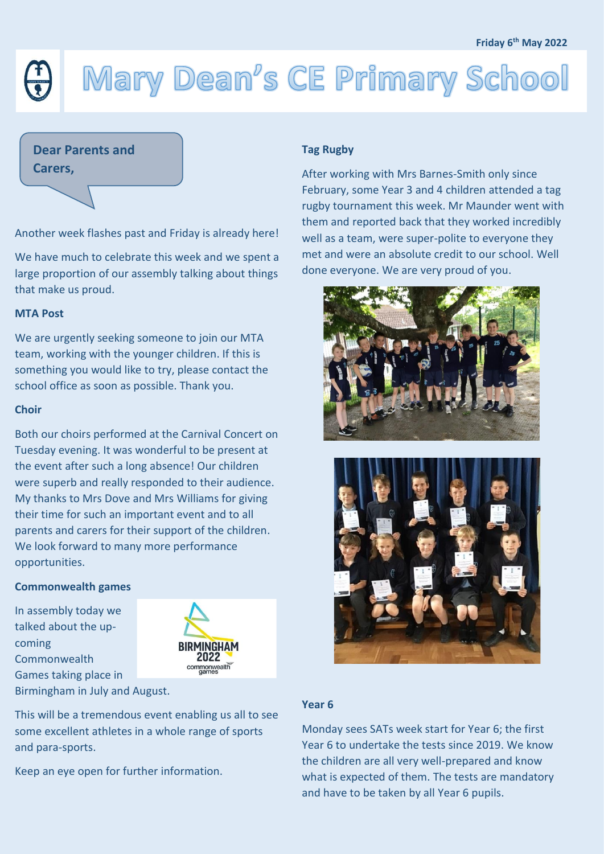# Mary Dean's CE Primary School

# **Dear Parents and**

**Carers,**

Another week flashes past and Friday is already here!

We have much to celebrate this week and we spent a large proportion of our assembly talking about things that make us proud.

#### **MTA Post**

We are urgently seeking someone to join our MTA team, working with the younger children. If this is something you would like to try, please contact the school office as soon as possible. Thank you.

#### **Choir**

Both our choirs performed at the Carnival Concert on Tuesday evening. It was wonderful to be present at the event after such a long absence! Our children were superb and really responded to their audience. My thanks to Mrs Dove and Mrs Williams for giving their time for such an important event and to all parents and carers for their support of the children. We look forward to many more performance opportunities.

### **Commonwealth games**

In assembly today we talked about the upcoming **Commonwealth** Games taking place in Birmingham in July and August.



This will be a tremendous event enabling us all to see some excellent athletes in a whole range of sports and para-sports.

Keep an eye open for further information.

### **Tag Rugby**

After working with Mrs Barnes-Smith only since February, some Year 3 and 4 children attended a tag rugby tournament this week. Mr Maunder went with them and reported back that they worked incredibly well as a team, were super-polite to everyone they met and were an absolute credit to our school. Well done everyone. We are very proud of you.





## **Year 6**

Monday sees SATs week start for Year 6; the first Year 6 to undertake the tests since 2019. We know the children are all very well-prepared and know what is expected of them. The tests are mandatory and have to be taken by all Year 6 pupils.